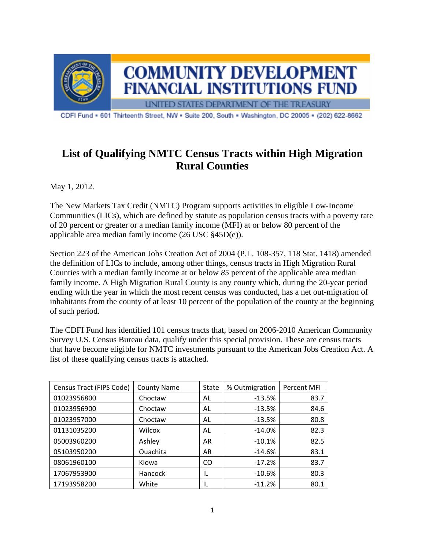

CDFI Fund - 601 Thirteenth Street, NW - Suite 200, South - Washington, DC 20005 - (202) 622-8662

## **List of Qualifying NMTC Census Tracts within High Migration Rural Counties**

May 1, 2012.

The New Markets Tax Credit (NMTC) Program supports activities in eligible Low-Income Communities (LICs), which are defined by statute as population census tracts with a poverty rate of 20 percent or greater or a median family income (MFI) at or below 80 percent of the applicable area median family income (26 USC §45D(e)).

Section 223 of the American Jobs Creation Act of 2004 (P.L. 108-357, 118 Stat. 1418) amended the definition of LICs to include, among other things, census tracts in High Migration Rural Counties with a median family income at or below *85* percent of the applicable area median family income. A High Migration Rural County is any county which, during the 20-year period ending with the year in which the most recent census was conducted, has a net out-migration of inhabitants from the county of at least 10 percent of the population of the county at the beginning of such period.

The CDFI Fund has identified 101 census tracts that, based on 2006-2010 American Community Survey U.S. Census Bureau data, qualify under this special provision. These are census tracts that have become eligible for NMTC investments pursuant to the American Jobs Creation Act. A list of these qualifying census tracts is attached.

| Census Tract (FIPS Code) | <b>County Name</b> | State | % Outmigration | Percent MFI |
|--------------------------|--------------------|-------|----------------|-------------|
| 01023956800              | Choctaw            | AL    | $-13.5%$       | 83.7        |
| 01023956900              | Choctaw            | AL    | $-13.5%$       | 84.6        |
| 01023957000              | Choctaw            | AL    | $-13.5%$       | 80.8        |
| 01131035200              | Wilcox             | AL    | $-14.0\%$      | 82.3        |
| 05003960200              | Ashley             | AR    | $-10.1%$       | 82.5        |
| 05103950200              | <b>Ouachita</b>    | AR    | $-14.6%$       | 83.1        |
| 08061960100              | Kiowa              | CO.   | $-17.2%$       | 83.7        |
| 17067953900              | Hancock            | IL    | $-10.6\%$      | 80.3        |
| 17193958200              | White              | IL    | $-11.2%$       | 80.1        |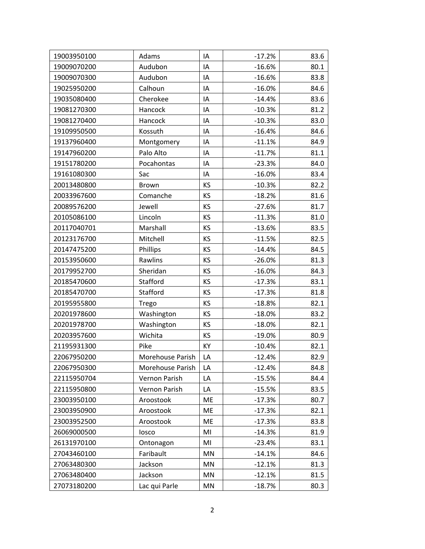| 19003950100 | Adams            | IA        | $-17.2%$ | 83.6 |
|-------------|------------------|-----------|----------|------|
| 19009070200 | Audubon          | IA        | $-16.6%$ | 80.1 |
| 19009070300 | Audubon          | IA        | $-16.6%$ | 83.8 |
| 19025950200 | Calhoun          | IA        | $-16.0%$ | 84.6 |
| 19035080400 | Cherokee         | IA        | $-14.4%$ | 83.6 |
| 19081270300 | Hancock          | IA        | $-10.3%$ | 81.2 |
| 19081270400 | Hancock          | IA        | $-10.3%$ | 83.0 |
| 19109950500 | Kossuth          | IA        | $-16.4%$ | 84.6 |
| 19137960400 | Montgomery       | IA        | $-11.1%$ | 84.9 |
| 19147960200 | Palo Alto        | IA        | $-11.7%$ | 81.1 |
| 19151780200 | Pocahontas       | IA        | $-23.3%$ | 84.0 |
| 19161080300 | Sac              | IA        | $-16.0%$ | 83.4 |
| 20013480800 | Brown            | KS        | $-10.3%$ | 82.2 |
| 20033967600 | Comanche         | KS        | $-18.2%$ | 81.6 |
| 20089576200 | Jewell           | KS        | $-27.6%$ | 81.7 |
| 20105086100 | Lincoln          | KS        | $-11.3%$ | 81.0 |
| 20117040701 | Marshall         | KS        | $-13.6%$ | 83.5 |
| 20123176700 | Mitchell         | KS        | $-11.5%$ | 82.5 |
| 20147475200 | Phillips         | KS        | $-14.4%$ | 84.5 |
| 20153950600 | Rawlins          | KS        | $-26.0%$ | 81.3 |
| 20179952700 | Sheridan         | KS        | $-16.0%$ | 84.3 |
| 20185470600 | Stafford         | KS        | $-17.3%$ | 83.1 |
| 20185470700 | Stafford         | KS        | $-17.3%$ | 81.8 |
| 20195955800 | Trego            | KS        | $-18.8%$ | 82.1 |
| 20201978600 | Washington       | KS        | $-18.0%$ | 83.2 |
| 20201978700 | Washington       | KS        | $-18.0%$ | 82.1 |
| 20203957600 | Wichita          | KS        | $-19.0%$ | 80.9 |
| 21195931300 | Pike             | KY        | $-10.4%$ | 82.1 |
| 22067950200 | Morehouse Parish | LA        | $-12.4%$ | 82.9 |
| 22067950300 | Morehouse Parish | LA        | $-12.4%$ | 84.8 |
| 22115950704 | Vernon Parish    | LA        | $-15.5%$ | 84.4 |
| 22115950800 | Vernon Parish    | LA        | $-15.5%$ | 83.5 |
| 23003950100 | Aroostook        | ME        | $-17.3%$ | 80.7 |
| 23003950900 | Aroostook        | ME        | $-17.3%$ | 82.1 |
| 23003952500 | Aroostook        | <b>ME</b> | $-17.3%$ | 83.8 |
| 26069000500 | losco            | MI        | $-14.3%$ | 81.9 |
| 26131970100 | Ontonagon        | MI        | $-23.4%$ | 83.1 |
| 27043460100 | Faribault        | MN        | $-14.1%$ | 84.6 |
| 27063480300 | Jackson          | MN        | $-12.1%$ | 81.3 |
| 27063480400 | Jackson          | MN        | $-12.1%$ | 81.5 |
| 27073180200 | Lac qui Parle    | MN        | $-18.7%$ | 80.3 |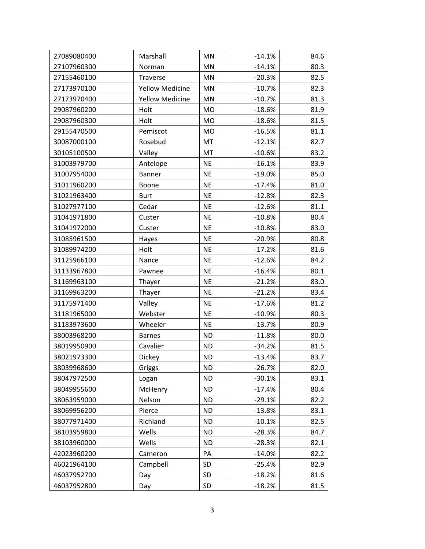| 27089080400 | Marshall               | MN        | $-14.1%$ | 84.6 |
|-------------|------------------------|-----------|----------|------|
| 27107960300 | Norman                 | MN        | $-14.1%$ | 80.3 |
| 27155460100 | Traverse               | MN        | $-20.3%$ | 82.5 |
| 27173970100 | <b>Yellow Medicine</b> | MN        | $-10.7%$ | 82.3 |
| 27173970400 | <b>Yellow Medicine</b> | MN        | $-10.7%$ | 81.3 |
| 29087960200 | Holt                   | MO        | $-18.6%$ | 81.9 |
| 29087960300 | Holt                   | <b>MO</b> | $-18.6%$ | 81.5 |
| 29155470500 | Pemiscot               | <b>MO</b> | $-16.5%$ | 81.1 |
| 30087000100 | Rosebud                | MT        | $-12.1%$ | 82.7 |
| 30105100500 | Valley                 | MT        | $-10.6%$ | 83.2 |
| 31003979700 | Antelope               | <b>NE</b> | $-16.1%$ | 83.9 |
| 31007954000 | Banner                 | <b>NE</b> | $-19.0%$ | 85.0 |
| 31011960200 | Boone                  | <b>NE</b> | $-17.4%$ | 81.0 |
| 31021963400 | <b>Burt</b>            | <b>NE</b> | $-12.8%$ | 82.3 |
| 31027977100 | Cedar                  | <b>NE</b> | $-12.6%$ | 81.1 |
| 31041971800 | Custer                 | <b>NE</b> | $-10.8%$ | 80.4 |
| 31041972000 | Custer                 | <b>NE</b> | $-10.8%$ | 83.0 |
| 31085961500 | Hayes                  | <b>NE</b> | $-20.9%$ | 80.8 |
| 31089974200 | Holt                   | <b>NE</b> | $-17.2%$ | 81.6 |
| 31125966100 | Nance                  | <b>NE</b> | $-12.6%$ | 84.2 |
| 31133967800 | Pawnee                 | <b>NE</b> | $-16.4%$ | 80.1 |
| 31169963100 | Thayer                 | <b>NE</b> | $-21.2%$ | 83.0 |
| 31169963200 | Thayer                 | <b>NE</b> | $-21.2%$ | 83.4 |
| 31175971400 | Valley                 | <b>NE</b> | $-17.6%$ | 81.2 |
| 31181965000 | Webster                | <b>NE</b> | $-10.9%$ | 80.3 |
| 31183973600 | Wheeler                | <b>NE</b> | $-13.7%$ | 80.9 |
| 38003968200 | <b>Barnes</b>          | <b>ND</b> | $-11.8%$ | 80.0 |
| 38019950900 | Cavalier               | <b>ND</b> | $-34.2%$ | 81.5 |
| 38021973300 | Dickey                 | <b>ND</b> | $-13.4%$ | 83.7 |
| 38039968600 | Griggs                 | <b>ND</b> | $-26.7%$ | 82.0 |
| 38047972500 | Logan                  | <b>ND</b> | $-30.1%$ | 83.1 |
| 38049955600 | McHenry                | <b>ND</b> | $-17.4%$ | 80.4 |
| 38063959000 | Nelson                 | <b>ND</b> | $-29.1%$ | 82.2 |
| 38069956200 | Pierce                 | <b>ND</b> | $-13.8%$ | 83.1 |
| 38077971400 | Richland               | <b>ND</b> | $-10.1%$ | 82.5 |
| 38103959800 | Wells                  | <b>ND</b> | $-28.3%$ | 84.7 |
| 38103960000 | Wells                  | <b>ND</b> | $-28.3%$ | 82.1 |
| 42023960200 | Cameron                | PA        | $-14.0%$ | 82.2 |
| 46021964100 | Campbell               | <b>SD</b> | $-25.4%$ | 82.9 |
| 46037952700 | Day                    | SD        | $-18.2%$ | 81.6 |
| 46037952800 | Day                    | SD        | $-18.2%$ | 81.5 |